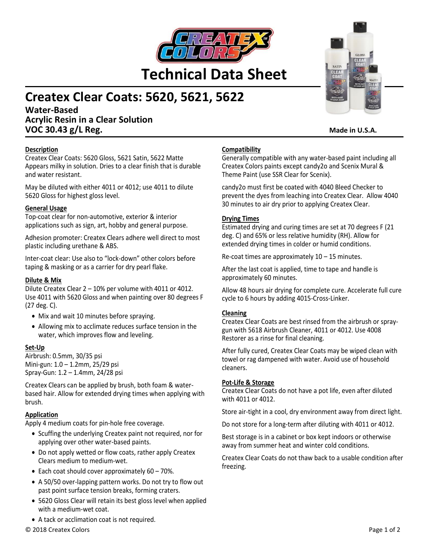

# **Createx Clear Coats: 5620, 5621, 5622**

**Water-Based Acrylic Resin in a Clear Solution VOC 30.43 g/L Reg. Made in U.S.A. Made in U.S.A.** 

## **Description**

Createx Clear Coats: 5620 Gloss, 5621 Satin, 5622 Matte Appears milky in solution. Dries to a clear finish that is durable and water resistant.

May be diluted with either 4011 or 4012; use 4011 to dilute 5620 Gloss for highest gloss level.

#### **General Usage**

Top-coat clear for non-automotive, exterior & interior applications such as sign, art, hobby and general purpose.

Adhesion promoter: Createx Clears adhere well direct to most plastic including urethane & ABS.

Inter-coat clear: Use also to "lock-down" other colors before taping & masking or as a carrier for dry pearl flake.

#### **Dilute & Mix**

Dilute Createx Clear 2 – 10% per volume with 4011 or 4012. Use 4011 with 5620 Gloss and when painting over 80 degrees F (27 deg. C).

- Mix and wait 10 minutes before spraying.
- Allowing mix to acclimate reduces surface tension in the water, which improves flow and leveling.

## **Set-Up**

Airbrush: 0.5mm, 30/35 psi Mini-gun: 1.0 – 1.2mm, 25/29 psi Spray-Gun: 1.2 – 1.4mm, 24/28 psi

Createx Clears can be applied by brush, both foam & waterbased hair. Allow for extended drying times when applying with brush.

## **Application**

Apply 4 medium coats for pin-hole free coverage.

- Scuffing the underlying Createx paint not required, nor for applying over other water-based paints.
- Do not apply wetted or flow coats, rather apply Createx Clears medium to medium-wet.
- Each coat should cover approximately 60 70%.
- A 50/50 over-lapping pattern works. Do not try to flow out past point surface tension breaks, forming craters.
- 5620 Gloss Clear will retain its best gloss level when applied with a medium-wet coat.
- A tack or acclimation coat is not required.

## **Compatibility**

Generally compatible with any water-based paint including all Createx Colors paints except candy2o and Scenix Mural & Theme Paint (use SSR Clear for Scenix).

candy2o must first be coated with 4040 Bleed Checker to prevent the dyes from leaching into Createx Clear. Allow 4040 30 minutes to air dry prior to applying Createx Clear.

## **Drying Times**

Estimated drying and curing times are set at 70 degrees F (21 deg. C) and 65% or less relative humidity (RH). Allow for extended drying times in colder or humid conditions.

Re-coat times are approximately  $10 - 15$  minutes.

After the last coat is applied, time to tape and handle is approximately 60 minutes.

Allow 48 hours air drying for complete cure. Accelerate full cure cycle to 6 hours by adding 4015-Cross-Linker.

#### **Cleaning**

Createx Clear Coats are best rinsed from the airbrush or spraygun with 5618 Airbrush Cleaner, 4011 or 4012. Use 4008 Restorer as a rinse for final cleaning.

After fully cured, Createx Clear Coats may be wiped clean with towel or rag dampened with water. Avoid use of household cleaners.

#### **Pot-Life & Storage**

Createx Clear Coats do not have a pot life, even after diluted with 4011 or 4012.

Store air-tight in a cool, dry environment away from direct light.

Do not store for a long-term after diluting with 4011 or 4012.

Best storage is in a cabinet or box kept indoors or otherwise away from summer heat and winter cold conditions.

Createx Clear Coats do not thaw back to a usable condition after freezing.